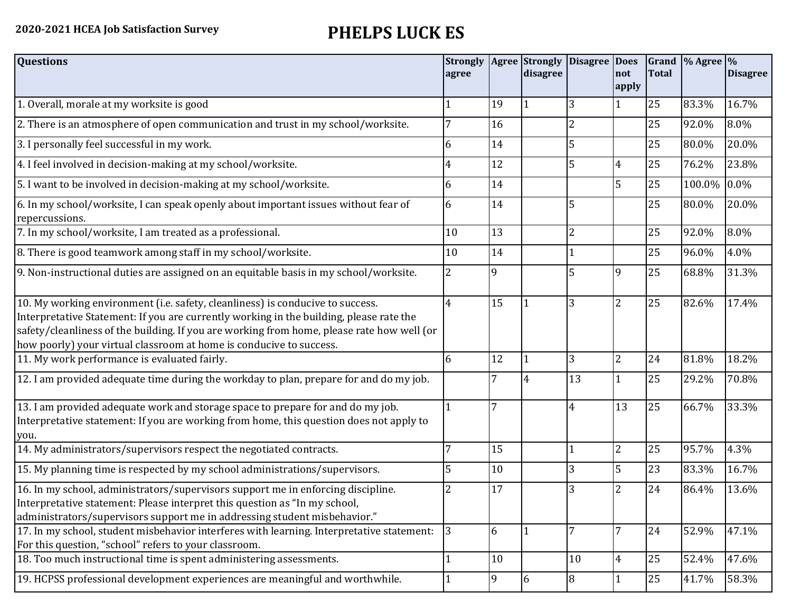## **2020-2021 HCEA Job Satisfaction Survey PHELPS LUCK ES**

| <b>Questions</b>                                                                                                                                                                                                                                                                                                                               | <b>Strongly Agree Strongly</b><br>agree |    | disagree | <b>Disagree</b> | <b>Does</b><br>not | <b>Total</b> | Grand % Agree % | <b>Disagree</b> |
|------------------------------------------------------------------------------------------------------------------------------------------------------------------------------------------------------------------------------------------------------------------------------------------------------------------------------------------------|-----------------------------------------|----|----------|-----------------|--------------------|--------------|-----------------|-----------------|
|                                                                                                                                                                                                                                                                                                                                                |                                         |    |          |                 | apply              |              |                 |                 |
| 1. Overall, morale at my worksite is good                                                                                                                                                                                                                                                                                                      |                                         | 19 |          | 3               |                    | 25           | 83.3%           | 16.7%           |
| 2. There is an atmosphere of open communication and trust in my school/worksite.                                                                                                                                                                                                                                                               |                                         | 16 |          | 2               |                    | 25           | 92.0%           | 8.0%            |
| 3. I personally feel successful in my work.                                                                                                                                                                                                                                                                                                    | 6                                       | 14 |          | 5               |                    | 25           | 80.0%           | 20.0%           |
| 4. I feel involved in decision-making at my school/worksite.                                                                                                                                                                                                                                                                                   | 4                                       | 12 |          | 5               | 4                  | 25           | 76.2%           | 23.8%           |
| 5. I want to be involved in decision-making at my school/worksite.                                                                                                                                                                                                                                                                             | 6                                       | 14 |          |                 | 5                  | 25           | 100.0%          | $0.0\%$         |
| 6. In my school/worksite, I can speak openly about important issues without fear of<br>repercussions.                                                                                                                                                                                                                                          | 6                                       | 14 |          | 5               |                    | 25           | 80.0%           | 20.0%           |
| 7. In my school/worksite, I am treated as a professional.                                                                                                                                                                                                                                                                                      | 10                                      | 13 |          | 2               |                    | 25           | 92.0%           | 8.0%            |
| 8. There is good teamwork among staff in my school/worksite.                                                                                                                                                                                                                                                                                   | 10                                      | 14 |          |                 |                    | 25           | 96.0%           | 4.0%            |
| 9. Non-instructional duties are assigned on an equitable basis in my school/worksite.                                                                                                                                                                                                                                                          | $\overline{2}$                          | 9  |          | 5               | 9                  | 25           | 68.8%           | 31.3%           |
| 10. My working environment (i.e. safety, cleanliness) is conducive to success.<br>Interpretative Statement: If you are currently working in the building, please rate the<br>safety/cleanliness of the building. If you are working from home, please rate how well (or<br>how poorly) your virtual classroom at home is conducive to success. | $\overline{4}$                          | 15 |          | 3               | $\overline{2}$     | 25           | 82.6%           | 17.4%           |
| 11. My work performance is evaluated fairly.                                                                                                                                                                                                                                                                                                   | 6                                       | 12 |          | 3               | $\overline{2}$     | 24           | 81.8%           | 18.2%           |
| 12. I am provided adequate time during the workday to plan, prepare for and do my job.                                                                                                                                                                                                                                                         |                                         |    | 4        | 13              |                    | 25           | 29.2%           | 70.8%           |
| 13. I am provided adequate work and storage space to prepare for and do my job.<br>Interpretative statement: If you are working from home, this question does not apply to<br>you.                                                                                                                                                             |                                         | 7  |          | 4               | 13                 | 25           | 66.7%           | 33.3%           |
| 14. My administrators/supervisors respect the negotiated contracts.                                                                                                                                                                                                                                                                            | 7                                       | 15 |          |                 | $\overline{2}$     | 25           | 95.7%           | 4.3%            |
| 15. My planning time is respected by my school administrations/supervisors.                                                                                                                                                                                                                                                                    | 5                                       | 10 |          | 3               | 5                  | 23           | 83.3%           | 16.7%           |
| 16. In my school, administrators/supervisors support me in enforcing discipline.<br>Interpretative statement: Please interpret this question as "In my school,<br>administrators/supervisors support me in addressing student misbehavior."                                                                                                    |                                         | 17 |          | 3               | $\overline{2}$     | 24           | 86.4%           | 13.6%           |
| 17. In my school, student misbehavior interferes with learning. Interpretative statement:<br>For this question, "school" refers to your classroom.                                                                                                                                                                                             | 3                                       | 6  |          |                 | 7                  | 24           | 52.9%           | 47.1%           |
| 18. Too much instructional time is spent administering assessments.                                                                                                                                                                                                                                                                            |                                         | 10 |          | 10              | $\overline{4}$     | 25           | 52.4%           | 47.6%           |
| 19. HCPSS professional development experiences are meaningful and worthwhile.                                                                                                                                                                                                                                                                  |                                         | 9  | 6        | 8               |                    | 25           | 41.7%           | 58.3%           |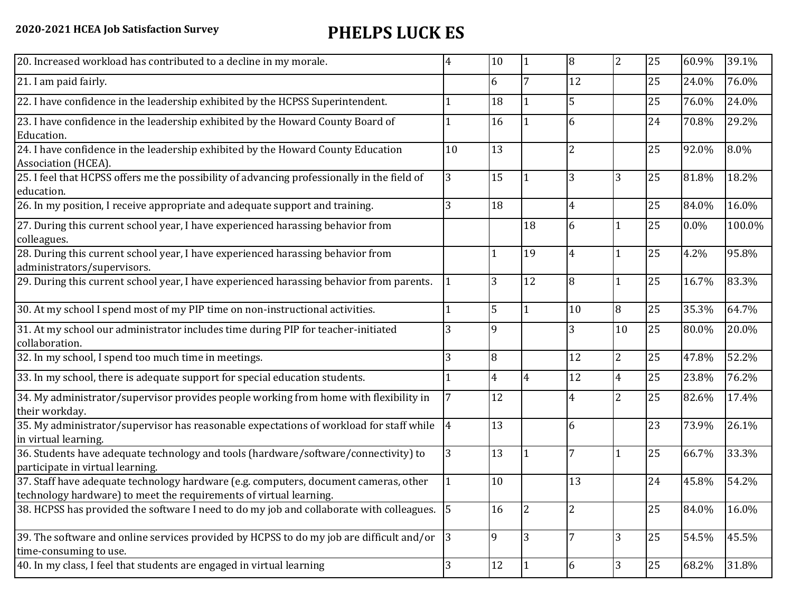## **2020-2021 HCEA Job Satisfaction Survey PHELPS LUCK ES**

|                | 10                                                                                                                                                                                           |                | 8              | $\overline{2}$ | 25 | 60.9% | 39.1%  |
|----------------|----------------------------------------------------------------------------------------------------------------------------------------------------------------------------------------------|----------------|----------------|----------------|----|-------|--------|
|                | 6                                                                                                                                                                                            | 7              | 12             |                | 25 | 24.0% | 76.0%  |
|                | 18                                                                                                                                                                                           |                | 5              |                | 25 | 76.0% | 24.0%  |
|                | 16                                                                                                                                                                                           |                | 6              |                | 24 | 70.8% | 29.2%  |
| 10             | 13                                                                                                                                                                                           |                | $\overline{2}$ |                | 25 | 92.0% | 8.0%   |
| 3              | 15                                                                                                                                                                                           |                | 3              | 3              | 25 | 81.8% | 18.2%  |
|                | 18                                                                                                                                                                                           |                | $\overline{4}$ |                | 25 | 84.0% | 16.0%  |
|                |                                                                                                                                                                                              | 18             | 6              |                | 25 | 0.0%  | 100.0% |
|                |                                                                                                                                                                                              | 19             | $\overline{4}$ |                | 25 | 4.2%  | 95.8%  |
|                | 3                                                                                                                                                                                            | 12             | 8              |                | 25 | 16.7% | 83.3%  |
|                | 5                                                                                                                                                                                            |                | 10             | 8              | 25 | 35.3% | 64.7%  |
|                | 9                                                                                                                                                                                            |                | 3              | 10             | 25 | 80.0% | 20.0%  |
| 3              | 8                                                                                                                                                                                            |                | 12             | $\overline{2}$ | 25 | 47.8% | 52.2%  |
|                | $\overline{4}$                                                                                                                                                                               | 4              | 12             | $\overline{4}$ | 25 | 23.8% | 76.2%  |
|                | 12                                                                                                                                                                                           |                | 4              | $\overline{2}$ | 25 | 82.6% | 17.4%  |
| $\overline{4}$ | 13                                                                                                                                                                                           |                | 6              |                | 23 | 73.9% | 26.1%  |
| 3              | 13                                                                                                                                                                                           |                | 7              |                | 25 | 66.7% | 33.3%  |
|                | 10                                                                                                                                                                                           |                | 13             |                | 24 | 45.8% | 54.2%  |
|                | 16                                                                                                                                                                                           | $\overline{2}$ | 2              |                | 25 | 84.0% | 16.0%  |
|                | 9                                                                                                                                                                                            | 3              |                | 3              | 25 | 54.5% | 45.5%  |
| 3              | 12                                                                                                                                                                                           |                | 6              | 3              | 25 | 68.2% | 31.8%  |
|                | 38. HCPSS has provided the software I need to do my job and collaborate with colleagues. 5<br>39. The software and online services provided by HCPSS to do my job are difficult and/or $ 3 $ |                |                |                |    |       |        |